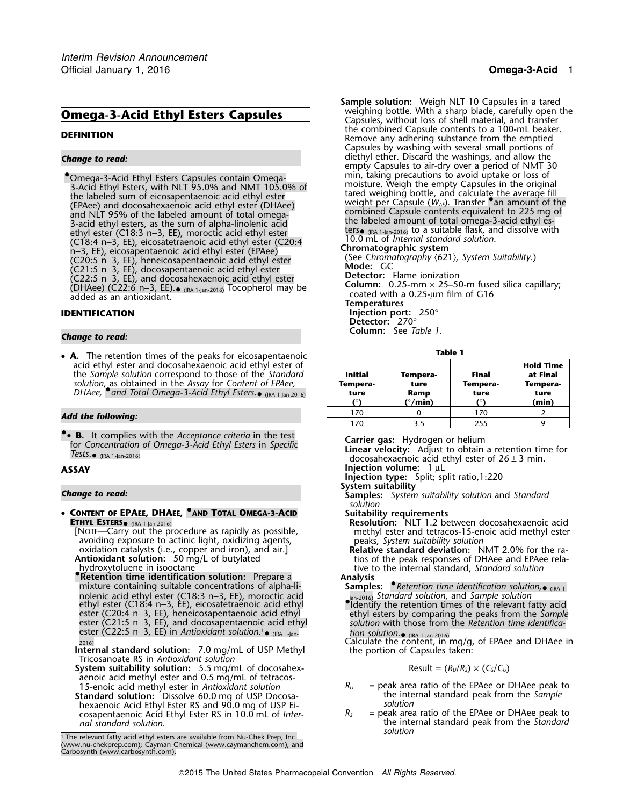3-Acid Ethyl Esters, with NLT 95.0% and NMT 105.0% of the labeled sum of eicosapentaenoic acid ethyl ester<br>
(EPAee) and docosahexaenoic acid ethyl ester (EHAee) and docosahexaenoic acid ethyl ester (EPAee) and docosahexae Fracial ethyl esters, as the suit of alpha-informedical ethyl ester ethyl ester (C18:3 n−3, EE), moroctic acid ethyl ester ters ters (RA 1-Jan-2016) to a suitable flask, and dissolve with (C18:4 n−3, EE), eicosatetraenoi <sup>n</sup>−3, EE), eicosapentaenoic acid ethyl ester (EPAee) **Chromatographic system** (See *Chromatography* 〈621〉*, System Suitability*.) (C20:5 n−3, EE), heneicosapentaenoic acid ethyl ester (C21:5 n−3, EE), docosapentaenoic acid ethyl ester **Mode:** GC **Detector:** Flame ionization (C22:5 n−3, EE), and docosahexaenoic acid ethyl ester **Column:** 0.25-mm × 25–50-m fused silica capillary; (DHAee) (C22:6 n−3, EE).•(DHAee) (C22:6 n–3, EE).<sub>● (IRA 1-Jan-2016)</sub> Tocopherol may be contractive coated with a 0.25-µm film of G16 coated as an antioxidant.<br>Coated with a 0.25-µm film of G16 coated with a 0.25-µm film of G16

• **A**. The retention times of the peaks for eicosapentaenoic **Figure 1 Table 1** acid ethyl ester and docosahexaenoic acid ethyl ester of the *Sample solution* correspond to those of the *Standard* **Initial Tempera- Final at Final** solution, as obtained in the Assay for Content of EPAee, **Tempera- Tempera- Tempera- Tempera- Tempera- Tempera- Tempera- Tempera- Tempera- Tempera- Tempera- Tempera- Tempera- Tempera- Tempera-**

• **B.** It complies with the *Acceptance criteria* in the test **12.** The complies with the Acceptance chiena in the test<br>for Concentration of Omega-3-Acid Ethyl Esters in Specific<br>Tests  $Tests. \bullet$  (IRA 1-Jan-2016)

•**CONTENT OF EPAEE, DHAEE, <sup>®</sup>AND TOTAL OMEGA-3-ACID** Suitability requirements<br>**ETHYL ESTERS** (IRA 1-Jan-2016) **ARELY RESOLATED MESSILITY CONTENT** RESOLUTION: NLT 1.2 be

avoiding exposure to actinic light, oxidizing agents, and a speaks, System suitability solution<br>
oxidation catalysts (i.e., copper and iron), and air.]<br> **Antioxidant solution:** 50 mg/L of butylated and tios of the peak res

hydroxytoluene in isooctane the internal standard, *Standard solution*<br> **•**• Retention time identification solution: Prepare a **Analysis** mixture containing suitable concentrations of alpha-li-<br>
nolenic acid ethyl ester (C18:3 n−3, EE), moroctic acid<br>
ethyl ester (C18:4 n−3, EE), eicosatetraenoic acid ethyl<br>
ethyl ester (C18:4 n−3, EE), eicosatetraenoic aci nolenic acid ethyl ester (C18:3 n–3, EE), moroctic acid<br>ethyl ester (C18:4 n–3, EE), eicosatetraenoic acid ethyl<br>ester (C20:4 n–3, EE), heneicosapentaenoic acid ethyl ethyl esters by comparing the peaks from the *Sample*<br>e ester (C22:5 n−3, EE) in *Antioxidant solution*.1. •ester (C22:5 n–3, EE) in Antioxidant solution. • (IRA 1-Jan- *tion solution.* • (IRA 1-Jan-2016)<br>2016) Calculate the content, in mg/g, of EPAee and DHAee in

**Internal standard solution:** 7.0 mg/mL of USP Methyl the portion of Capsules taken: Tricosanoate RS in *Antioxidant solution* 

- System suitability solution: 5.5 mg/mL of docosahexaenoic acid methyl ester and 0.5 mg/mL of tetracos-
- **Standard solution:** Dissolve 60.0 mg of USP Docosa- the internal solution<br>hexaenoic Acid Ethyl Ester RS and 90.0 mg of USP Fi-<br>solution hexaenoic Acid Ethyl Ester RS and 90.0 mg of USP Ei-<br>cosapentaenoic Acid Ethyl Ester RS in 10.0 mL of *Inter-*  $R_s$  = peak area ratio of the EPAee or DHAee peak to cosapentaenoic Acid Ethyl Ester RS in 10.0 mL of *Internal standard solution*. the internal standard peak from the *Standard*

**Sample solution:** Weigh NLT 10 Capsules in a tared weighing bottle. With a sharp blade, carefully open the **Omega-3-Acid Ethyl Esters Capsules** Weighing bottle. With a sharp blade, carefully open the Capsules, without loss of shell material, and transfer<br>the combined Capsule contents to a 100-mL beaker. **DEFINITION** DEFINITION Remove any adhering substance from the emptied<br>Remove any adhering substance from the emptied Capsules by washing with several small portions of *Change to read:* diethyl ether. Discard the washings, and allow the empty Capsules to air-dry over a period of NMT 30 • Omega-3-Acid Ethyl Esters Capsules contain Omega- Thin, taking precautions to avoid uptake or loss of

**IDENTIFICATION Injection port:** 250° **Detector:** 270°

**Column:** See *Table 1*. *Change to read:*

| <b>A.</b> The retendon units of the peaks for electroperitation.<br>acid ethyl ester and docosahexaenoic acid ethyl ester of<br>the Sample solution correspond to those of the Standard<br>solution, as obtained in the Assay for Content of EPAee,<br>DHAee, $\bullet$ and Total Omega-3-Acid Ethyl Esters. $\bullet$ (IRA 1-Jan-2016) | Initial<br>Tempera-<br>ture | Tempera-<br>ture<br>Ramp<br>(°/min) | Final<br>Tempera-<br>ture | <b>Hold Time</b><br>at Final<br>Tempera-<br>ture<br>(min) |
|-----------------------------------------------------------------------------------------------------------------------------------------------------------------------------------------------------------------------------------------------------------------------------------------------------------------------------------------|-----------------------------|-------------------------------------|---------------------------|-----------------------------------------------------------|
| Add the following:                                                                                                                                                                                                                                                                                                                      | 170                         |                                     | 170                       |                                                           |
|                                                                                                                                                                                                                                                                                                                                         | ' 70                        |                                     | 255                       |                                                           |

docosahexaenoic acid ethyl ester of  $26 \pm 3$  min.

**ASSAY Injection volume:** 1 µ<sup>L</sup> **Injection type:** Split; split ratio,1:220

**System suitability** *Change to read:* **Samples:** *System suitability solution* and *Standard solution*

(IRA 1-Jan-2016) **Resolution:** NLT 1.2 between docosahexaenoic acid

**Antioxidant solution:** 50 mg/L of butylated tios of the peak responses of DHAee and EPAee rela-<br>hydroxytoluene in isooctane tive to the internal standard, *Standard solution* 

- **Samples:** Retention time identification solution,  $\bullet$  (IRA 1-
- 

$$
Result = (R_U/R_S) \times (C_S/C_U)
$$

- 15-enoic acid methyl ester in *Antioxidant solution R<sub>U</sub>* = peak area ratio of the EPAee or DHAee peak to the and ard peak to the internal standard peak from the Sample **the internal standard peak from the Sample** 
	- *solution*

<sup>&</sup>lt;sup>1</sup> The relevant fatty acid ethyl esters are available from Nu-Chek Prep, Inc. (www.nu-chekprep.com); Cayman Chemical (www.caymanchem.com); and Carbosynth (www.carbosynth.com).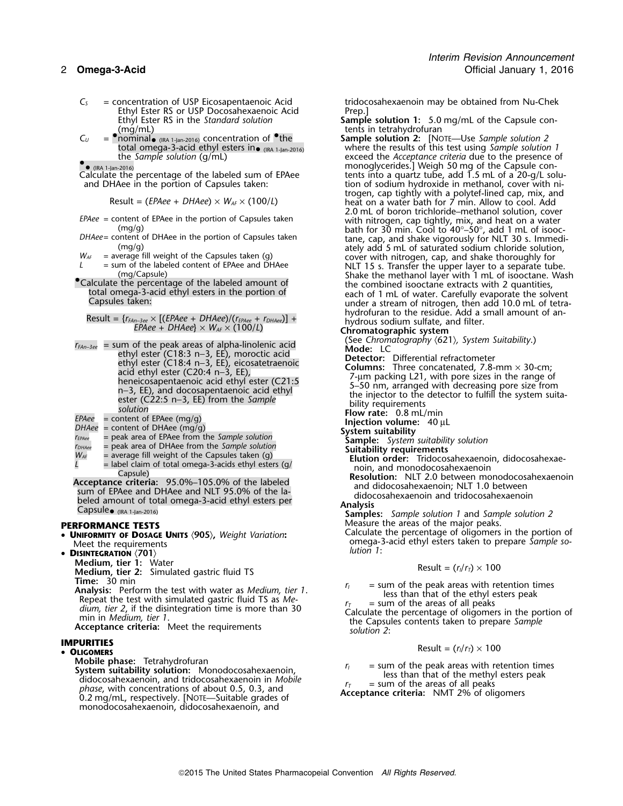- *C<sup>S</sup>* = concentration of USP Eicosapentaenoic Acid tridocosahexaenoin may be obtained from Nu-Chek Ethyl Ester RS or USP Docosahexaenoic Acid<br>Ethyl Ester RS in the Standard solution
- (mg/mL) tents in tetrahydrofuran<br>*C<sub>U</sub>* = **•**nominal<sub>•(IRA 1-lan-2016) concentration of **•**the **Sample solution 2:** [No</sub> total omega-3-acid ethyl esters in•

$$
Result = (EPAee + DHAee) \times W_{AF} \times (100/L)
$$

- 
- 
- 
- 

$$
Result = {r_{FAn-3ee} \times [(EPaee + DHAee)/(r_{EPaee} + r_{DHAee})] +}
$$

$$
EPAee + DHAee \times W_{AF} \times (100/L)
$$

- *Than-3e* = sum of the peak areas of alpha-linolenic acid (See *Chomiography* (621), *System Suitability*, exactle ethyl ester (C18:3 n-3, EE), morocic acid and the exactle and the exactle and the exactle and the set (C20
- 
- 
- 
- 
- 
- 

- **UNIFORMITY OF DOSAGE UNITS** 〈**905**〉**,** *Weight Variation***:**
- *lution 1*: **DISINTEGRATION** 〈**701**〉
	- **Medium, tier 1:** Water
	- **Medium, tier 2:** Simulated gastric fluid TS<br>Time: 30 min

**Analysis:** Perform the test with water as *Medium, tier 1*.<br>
Repeat the test with simulated gastric fluid TS as *Me*-<br> *In*  $r_i$  = sum of the peak areas with retention times<br>
less than that of the ethyl esters peak<br> *In* 

- **OLIGOMERS**
	-
	- **Mobile phase:** Tetrahydrofuran<br> **System suitability solution:** Monodocosahexaenoin,<br>
	didocosahexaenoin, and tridocosahexaenoin in *Mobile*<br> *Phase*, with concentrations of about 0.5, 0.3, and<br>
	0.2 mg/mL, respectively. [N monodocosahexaenoin, didocosahexaenoin, and

- Ethyl Ester RS in the *Standard solution* **Sample solution 1:** 5.0 mg/mL of the Capsule con-
- Sample solution 2: [NOTE—Use *Sample solution 2* where the results of this test using *Sample solution 1* the *Sample solution* (g/mL) exceed the *Acceptance criteria* due to the presence of •<br>-2016) exceed the *Acceptance criteria* due to the *Capsule con-*. • (IRA 1-Jan-2016) monoglycerides.] Weigh 50 mg of the Capsule con-Calculate the percentage of the labeled sum of EPAee tents into a quartz tube, add 1.5 mL of a 20-g/L solu-<br>Calculate in the portion of Capsules taken: the solution of sodium hydroxide in methanol, cover with nition of sodium hydroxide in methanol, cover with nitrogen, cap tightly with a polytef-lined cap, mix, and heat on a water bath for 7 min. Allow to cool. Add *EPAee* = content of EPAee in the portion of Capsules taken<br>(mg/g) and the portion of Capsules taken<br>DHAee = content of DHAee in the portion of Capsules taken<br>DHAee = content of DHAee in the portion of Capsules taken<br>DHAe *D* phtent of DHAee in the portion of Capsules taken tane, cap, and shake vigorously for NLT 30 s. Immedi-<br>(mg/g) ately add 5 mL of saturated sodium chloride solution,  $W_{AF}$  = average fill weight of the Capsules taken (g)<br>  $L$  = sum of the labeled content of EPAee and DHAee<br>
(mg/Capsule)<br>
Calculate the percentage of the labeled amount of<br>
Calculate the percentage of the labeled amount total omega-3-acid ethyl esters in the portion of the seach of 1 mL of water. Carefully evaporate the solvent<br>Capsules taken: Carefully evaporate the solvent school of the portion of the power of nitrogen, then add 10.0 mL hydrofuran to the residue. Add a small amount of an-<br>hydrous sodium sulfate, and filter.<br>**Chromatographic system**<br>(See Chromatography  $(621)$ , System Suitability.)

- 
- 
- 
- 
- -
	- -
	- -
- 

Capsule<sub>o (IRA 1-Jan-2016)<br> **Samples:** *Sample solution 1* and *Sample solution 2*<br>
Measure the areas of the major peaks.</sub>

**PERFORMANCE TESTS**<br>• **INIEORMITY OF DOSACE LINITS** (905) *Weight Variation*: Calculate the percentage of oligomers in the portion of omega-3-acid ethyl esters taken to prepare *Sample so-lution 1*:

$$
Result = (r_1/r_7) \times 100
$$

**IMPURITIES** Result = (*<sup>r</sup>I*/*<sup>r</sup>T*) ×<sup>100</sup> •

- 
-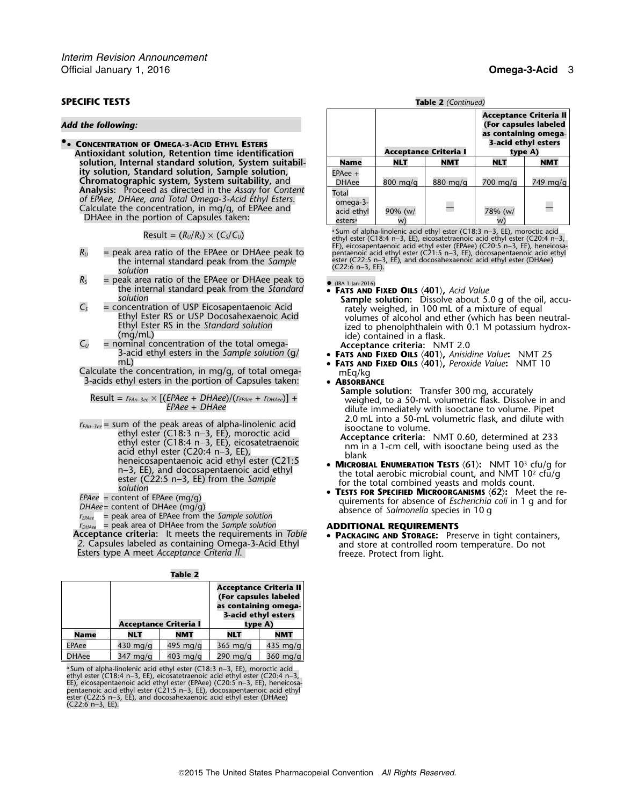# **SPECIFIC TESTS Table 2** *(Continued)*

### *Add the following:*

**• 3-acid ethyl esters .**• **CONCENTRATION OF OMEGA-3-ACID ETHYL ESTERS Antioxidant solution, Retention time identification**  $Solution$ , Internal standard solution, System suitability solution, Standard solution, Sample solution, **Chromatographic system, System suitability, and Analysis:** Proceed as directed in the Assay for Content of EPAee, DHAee, and Total Omega-3-Acid Ethyl Esters.<br>Calculate the concentration, in mg/g, of EPAee and<br>DHAee in the portion of Capsules taken:

$$
Result = (R_U/R_S) \times (C_S/C_U)
$$

- ester (C22:5 n−3, EE), and docosahexaenoic acid ethyl ester (DHAee) the internal standard peak from the *Sample* (C22:6 n−3, EE). *solution*
- $R_s$  = peak area ratio of the EPAee or DHAee peak to  $\bullet$  (IRA 1-Jan-2016) (IRA 1-Jan-2016) the internal standard peak from the *Standard* • **<sup>F</sup>ATS AND FIXED OILS** 〈**401**〉**,** *Acid Value*
- 
- 3-acid ethyl esters in the *Sample solution* (g/ **<sup>F</sup>ATS AND FIXED OILS** 〈**401**〉**,** *Anisidine Value***:** NMT 25 mL) • **<sup>F</sup>ATS AND FIXED OILS** 〈**401**〉**,** *Peroxide Value***:** NMT 10

Calculate the concentration, in mg/g, of total omega- mEq/kg 3-acids ethyl esters in the portion of Capsules taken: • **<sup>A</sup>BSORBANCE**

$$
Result = r_{FAn-3ee} \times [(EPAee + DHAee)/(r_{EPAee} + r_{DHAee})] +
$$
  
 
$$
EPAee + DHAee
$$

- $r_{FAn-3ee}$  = sum of the peak areas of alpha-linolenic acid<br>
ethyl ester (C18:3 n-3, EE), moroctic acid<br>
ethyl ester (C18:4 n-3, EE), eicosatetraenoic<br>
acid ethyl ester (C20:4 n-3, EE),<br>
heneicosapentaenoic acid ethyl<br>
n-3 Fractic Computation Castle Computer (C21:5 **MICROBIAL ENUMERATION TESTS (61):** NMT 10<sup>3</sup> cfu/g for<br>
n-3, EE), and docosapentaenoic acid ethyl<br>
solution<br>
FPAee = content of EPAee (mq/q)<br>
FRAEE = content of EPAee (mq/q)
- 
- 
- 
- 
- $r_{DHAee}$  = peak area of DHAee from the *Sample solution*<br> **ACCEPTE ACCEPTE ACCEPTED ACTES**<br>
2. Capsules labeled as containing Omega-3-Acid Ethyl<br>
Esters type A meet *Acceptance Criteria II*.<br>
Esters type A meet *Acceptanc*

|  | lan |  |  |
|--|-----|--|--|
|--|-----|--|--|

|              | <b>Acceptance Criteria I</b> |                    | Acceptance Criteria II<br>(For capsules labeled<br>as containing omega-<br>3-acid ethyl esters<br>type A) |                    |  |
|--------------|------------------------------|--------------------|-----------------------------------------------------------------------------------------------------------|--------------------|--|
| Name         | <b>NLT</b>                   | NMT                | NLT<br>NMT                                                                                                |                    |  |
| <b>EPAee</b> | 430 mg/g                     | 495 mg/g           | $365 \text{ mg/q}$                                                                                        | 435 mg/g           |  |
| <b>JHAee</b> | $347 \text{ mg/q}$           | $403 \text{ mg/q}$ | 290 mg/g                                                                                                  | $360 \text{ mg/q}$ |  |

<sup>a</sup> Sum of alpha-linolenic acid ethyl ester (C18:3 n−3, EE), moroctic acid ethyl ester (C18:4 n−3, EE), eicosatetraenoic acid ethyl ester (C20:4 n−3,<br>EE), eicosapentaenoic acid ethyl ester (EPAee) (C20:5 n−3, EE), heneicosa-<br>pentaenoic acid ethyl ester (C21:5 n−3, EE), docosapentaenoic acid ethy ester (C22:5 n−3, EE), and docosahexaenoic acid ethyl ester (DHAee) (C22:6 n−3, EE).

| Table 2 (Continued |
|--------------------|
|                    |

|                                                        |                    | <b>Acceptance Criteria I</b> | Acceptance Criteria II<br>(For capsules labeled<br>as containing omega-<br>3-acid ethyl esters<br>type A) |            |  |
|--------------------------------------------------------|--------------------|------------------------------|-----------------------------------------------------------------------------------------------------------|------------|--|
| Name                                                   | <b>NLT</b>         | <b>NMT</b>                   | NLT                                                                                                       | <b>NMT</b> |  |
| $EPAee +$<br><b>DHAee</b>                              | $800 \text{ mg/q}$ | $880$ mg/g                   | 700 mg/g                                                                                                  | 749 mg/g   |  |
| Total<br>omega-3-<br>acid ethyl<br>esters <sup>a</sup> | 90% (w/<br>w       |                              | 78% (w/                                                                                                   |            |  |

 ${\sf Result} = (R_U/R_S) \times (C_S/C_U)$  . The sum of alpha-linolenic acid ethyl ester (C18:3 n–3, EE), moroctic acid ethyl ester (C18:3 n–3, EE), moroctic acid ethyl ester (C20:4 n–3, EE), eicosatetraenoic acid ethyl ester (C20:4 n–3, ethy EE), eicosapentaenoic acid ethyl ester (EPAee) (C20:5 n−3, EE), heneicosa-<br>Peak area ratio of the EPAee or DHAee peak to pentaenoic acid ethyl ester (C21:5 n−3, EE), docosapentaenoic acid ethyl

 $C_s$  = concentration of USP Eicosapentaenoic Acid<br>
Ethyl Ester RS or USP Docosahexaenoic Acid<br>
Ethyl Ester RS or USP Docosahexaenoic Acid<br>
Ethyl Ester RS in the *Standard solution*<br>
Ethyl Ester RS in the *Standard solutio* 

- 
- 
- 

**Sample solution:** Transfer 300 mg, accurately<br>weighed, to a 50-mL volumetric flask. Dissolve in and<br>dilute immediately with isooctane to volume. Pipet<br>2.0 mL into a 50-mL volumetric flask, and dilute with

- 
- *EPARE* = Content of EPARE (mg/g)<br> *DHAee* = content of DHAee (mg/g)<br>  $T_{EPaee}$  = peak area of EPAee from the *Sample solution*<br>  $T_{DHAee}$  = peak area of DHAee from the *Sample solution*<br>  $T_{DHAee}$  = peak area of DHAee fro